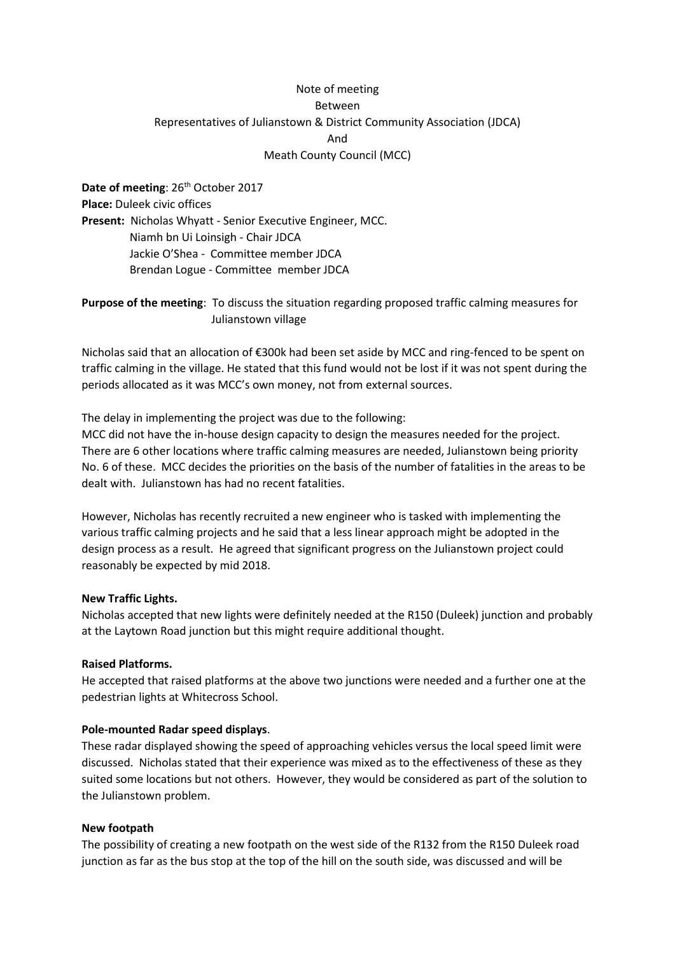# Note of meeting Between Representatives of Julianstown & District Community Association (JDCA) And Meath County Council (MCC)

**Date of meeting: 26<sup>th</sup> October 2017 Place:** Duleek civic offices **Present:** Nicholas Whyatt - Senior Executive Engineer, MCC. Niamh bn Ui Loinsigh - Chair JDCA Jackie O'Shea - Committee member JDCA Brendan Logue - Committee member JDCA

**Purpose of the meeting**: To discuss the situation regarding proposed traffic calming measures for Julianstown village

Nicholas said that an allocation of €300k had been set aside by MCC and ring-fenced to be spent on traffic calming in the village. He stated that this fund would not be lost if it was not spent during the periods allocated as it was MCC's own money, not from external sources.

The delay in implementing the project was due to the following: MCC did not have the in-house design capacity to design the measures needed for the project. There are 6 other locations where traffic calming measures are needed, Julianstown being priority No. 6 of these. MCC decides the priorities on the basis of the number of fatalities in the areas to be dealt with. Julianstown has had no recent fatalities.

However, Nicholas has recently recruited a new engineer who is tasked with implementing the various traffic calming projects and he said that a less linear approach might be adopted in the design process as a result. He agreed that significant progress on the Julianstown project could reasonably be expected by mid 2018.

### **New Traffic Lights.**

Nicholas accepted that new lights were definitely needed at the R150 (Duleek) junction and probably at the Laytown Road junction but this might require additional thought.

#### **Raised Platforms.**

He accepted that raised platforms at the above two junctions were needed and a further one at the pedestrian lights at Whitecross School.

#### **Pole-mounted Radar speed displays**.

These radar displayed showing the speed of approaching vehicles versus the local speed limit were discussed. Nicholas stated that their experience was mixed as to the effectiveness of these as they suited some locations but not others. However, they would be considered as part of the solution to the Julianstown problem.

#### **New footpath**

The possibility of creating a new footpath on the west side of the R132 from the R150 Duleek road junction as far as the bus stop at the top of the hill on the south side, was discussed and will be